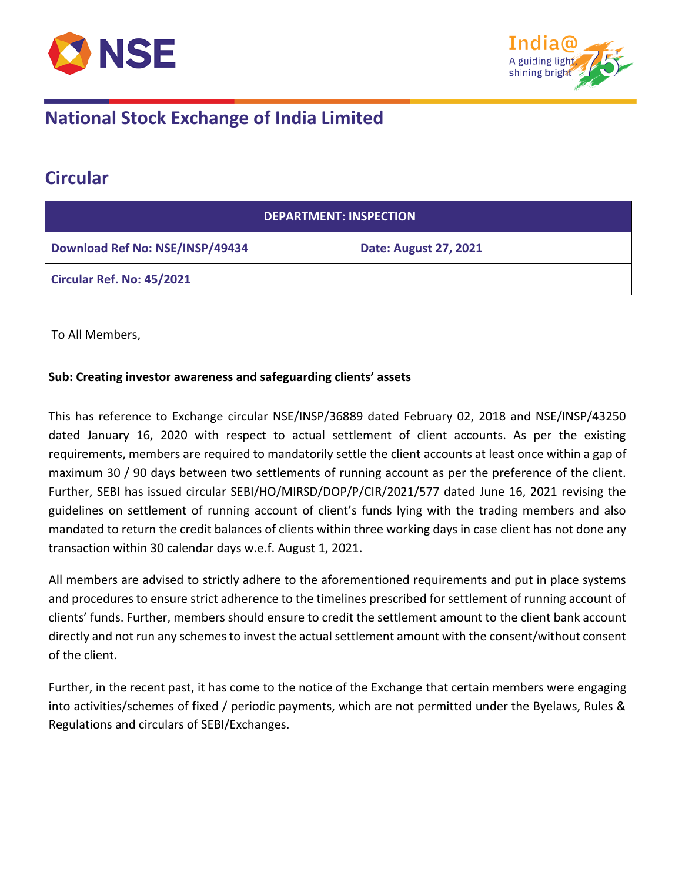



### **Circular**

| <b>DEPARTMENT: INSPECTION</b>   |                       |
|---------------------------------|-----------------------|
| Download Ref No: NSE/INSP/49434 | Date: August 27, 2021 |
| Circular Ref. No: 45/2021       |                       |

To All Members,

#### **Sub: Creating investor awareness and safeguarding clients' assets**

This has reference to Exchange circular NSE/INSP/36889 dated February 02, 2018 and NSE/INSP/43250 dated January 16, 2020 with respect to actual settlement of client accounts. As per the existing requirements, members are required to mandatorily settle the client accounts at least once within a gap of maximum 30 / 90 days between two settlements of running account as per the preference of the client. Further, SEBI has issued circular SEBI/HO/MIRSD/DOP/P/CIR/2021/577 dated June 16, 2021 revising the guidelines on settlement of running account of client's funds lying with the trading members and also mandated to return the credit balances of clients within three working days in case client has not done any transaction within 30 calendar days w.e.f. August 1, 2021.

All members are advised to strictly adhere to the aforementioned requirements and put in place systems and procedures to ensure strict adherence to the timelines prescribed for settlement of running account of clients' funds. Further, members should ensure to credit the settlement amount to the client bank account directly and not run any schemes to invest the actual settlement amount with the consent/without consent of the client.

Further, in the recent past, it has come to the notice of the Exchange that certain members were engaging into activities/schemes of fixed / periodic payments, which are not permitted under the Byelaws, Rules & Regulations and circulars of SEBI/Exchanges.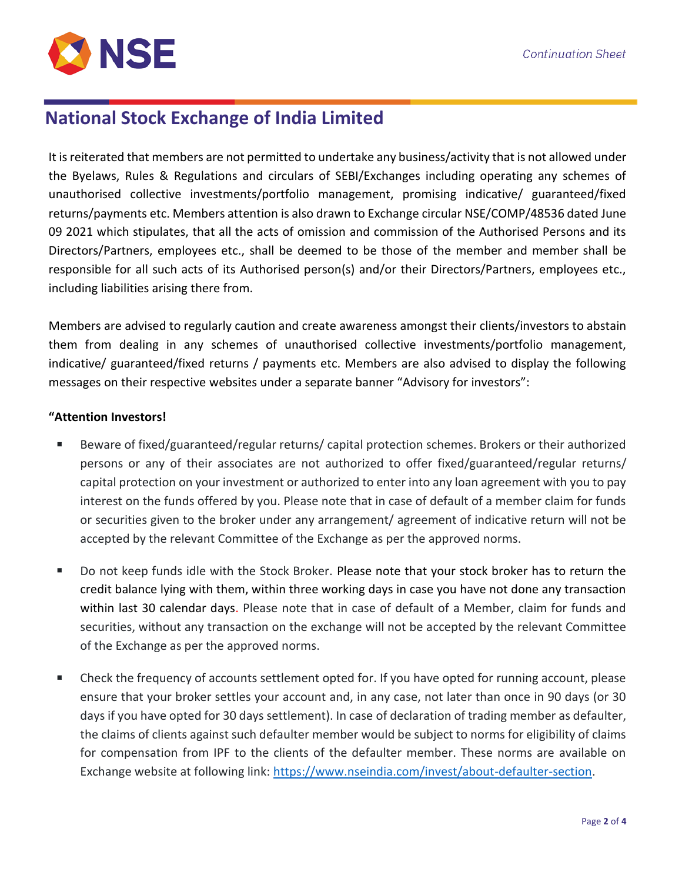

It is reiterated that members are not permitted to undertake any business/activity that is not allowed under the Byelaws, Rules & Regulations and circulars of SEBI/Exchanges including operating any schemes of unauthorised collective investments/portfolio management, promising indicative/ guaranteed/fixed returns/payments etc. Members attention is also drawn to Exchange circular NSE/COMP/48536 dated June 09 2021 which stipulates, that all the acts of omission and commission of the Authorised Persons and its Directors/Partners, employees etc., shall be deemed to be those of the member and member shall be responsible for all such acts of its Authorised person(s) and/or their Directors/Partners, employees etc., including liabilities arising there from.

Members are advised to regularly caution and create awareness amongst their clients/investors to abstain them from dealing in any schemes of unauthorised collective investments/portfolio management, indicative/ guaranteed/fixed returns / payments etc. Members are also advised to display the following messages on their respective websites under a separate banner "Advisory for investors":

#### **"Attention Investors!**

- Beware of fixed/guaranteed/regular returns/ capital protection schemes. Brokers or their authorized persons or any of their associates are not authorized to offer fixed/guaranteed/regular returns/ capital protection on your investment or authorized to enter into any loan agreement with you to pay interest on the funds offered by you. Please note that in case of default of a member claim for funds or securities given to the broker under any arrangement/ agreement of indicative return will not be accepted by the relevant Committee of the Exchange as per the approved norms.
- Do not keep funds idle with the Stock Broker. Please note that your stock broker has to return the credit balance lying with them, within three working days in case you have not done any transaction within last 30 calendar days. Please note that in case of default of a Member, claim for funds and securities, without any transaction on the exchange will not be accepted by the relevant Committee of the Exchange as per the approved norms.
- Check the frequency of accounts settlement opted for. If you have opted for running account, please ensure that your broker settles your account and, in any case, not later than once in 90 days (or 30 days if you have opted for 30 days settlement). In case of declaration of trading member as defaulter, the claims of clients against such defaulter member would be subject to norms for eligibility of claims for compensation from IPF to the clients of the defaulter member. These norms are available on Exchange website at following link: [https://www.nseindia.com/invest/about-defaulter-section.](https://www.nseindia.com/invest/about-defaulter-section)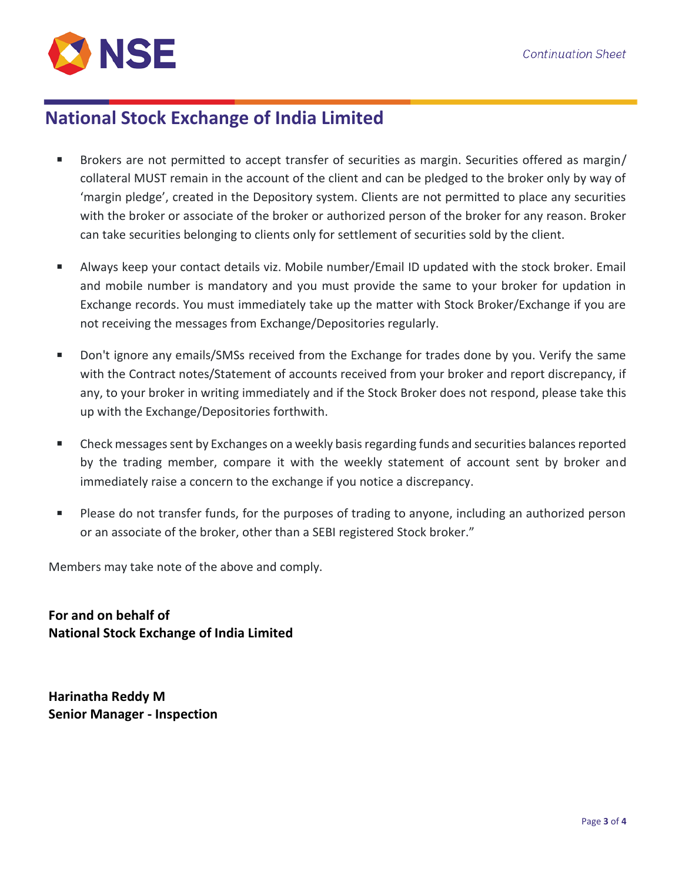

- Brokers are not permitted to accept transfer of securities as margin. Securities offered as margin/ collateral MUST remain in the account of the client and can be pledged to the broker only by way of 'margin pledge', created in the Depository system. Clients are not permitted to place any securities with the broker or associate of the broker or authorized person of the broker for any reason. Broker can take securities belonging to clients only for settlement of securities sold by the client.
- Always keep your contact details viz. Mobile number/Email ID updated with the stock broker. Email and mobile number is mandatory and you must provide the same to your broker for updation in Exchange records. You must immediately take up the matter with Stock Broker/Exchange if you are not receiving the messages from Exchange/Depositories regularly.
- Don't ignore any emails/SMSs received from the Exchange for trades done by you. Verify the same with the Contract notes/Statement of accounts received from your broker and report discrepancy, if any, to your broker in writing immediately and if the Stock Broker does not respond, please take this up with the Exchange/Depositories forthwith.
- Check messages sent by Exchanges on a weekly basis regarding funds and securities balances reported by the trading member, compare it with the weekly statement of account sent by broker and immediately raise a concern to the exchange if you notice a discrepancy.
- Please do not transfer funds, for the purposes of trading to anyone, including an authorized person or an associate of the broker, other than a SEBI registered Stock broker."

Members may take note of the above and comply.

**For and on behalf of National Stock Exchange of India Limited**

**Harinatha Reddy M Senior Manager - Inspection**